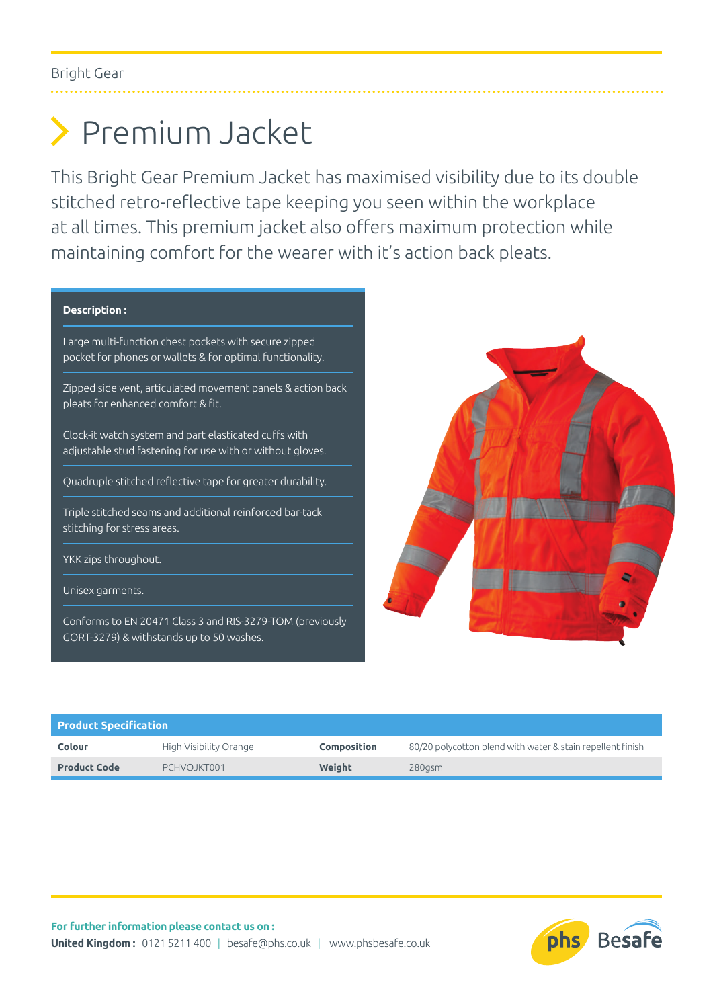## Premium Jacket

This Bright Gear Premium Jacket has maximised visibility due to its double stitched retro-reflective tape keeping you seen within the workplace at all times. This premium jacket also offers maximum protection while maintaining comfort for the wearer with it's action back pleats.

## **Description :**

Large multi-function chest pockets with secure zipped pocket for phones or wallets & for optimal functionality.

Zipped side vent, articulated movement panels & action back pleats for enhanced comfort & fit.

Clock-it watch system and part elasticated cuffs with adjustable stud fastening for use with or without gloves.

Quadruple stitched reflective tape for greater durability.

Triple stitched seams and additional reinforced bar-tack stitching for stress areas.

YKK zips throughout.

Unisex garments.

Conforms to EN 20471 Class 3 and RIS-3279-TOM (previously GORT-3279) & withstands up to 50 washes.



| <b>Product Specification</b> |                        |                    |                                                            |  |  |
|------------------------------|------------------------|--------------------|------------------------------------------------------------|--|--|
| Colour                       | High Visibility Orange | <b>Composition</b> | 80/20 polycotton blend with water & stain repellent finish |  |  |
| <b>Product Code</b>          | PCHVOJKT001            | Weight             | $280$ asm                                                  |  |  |